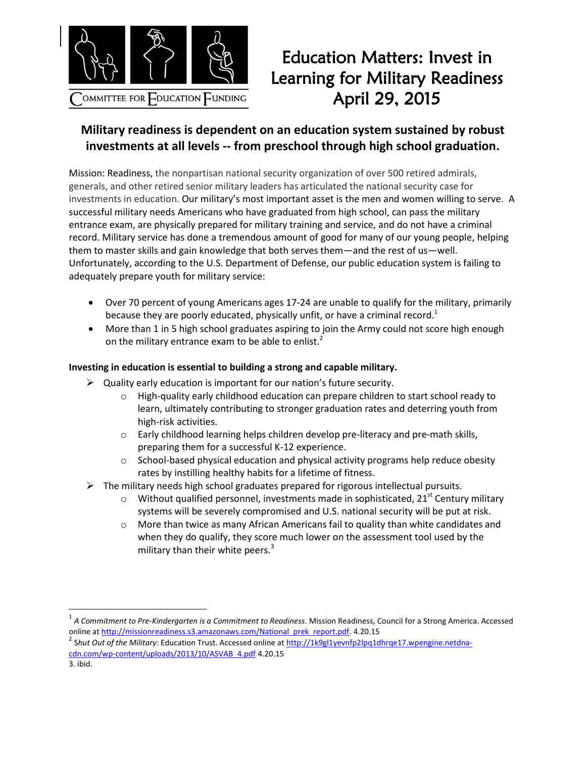

l

## Education Matters: Invest in Learning for Military Readiness April 29, 2015

## **Military readiness is dependent on an education system sustained by robust investments at all levels -- from preschool through high school graduation.**

Mission: Readiness, the nonpartisan national security organization of over 500 retired admirals, generals, and other retired senior military leaders has articulated the national security case for investments in education. Our military's most important asset is the men and women willing to serve. A successful military needs Americans who have graduated from high school, can pass the military entrance exam, are physically prepared for military training and service, and do not have a criminal record. Military service has done a tremendous amount of good for many of our young people, helping them to master skills and gain knowledge that both serves them—and the rest of us—well. Unfortunately, according to the U.S. Department of Defense, our public education system is failing to adequately prepare youth for military service:

- Over 70 percent of young Americans ages 17-24 are unable to qualify for the military, primarily because they are poorly educated, physically unfit, or have a criminal record.<sup>1</sup>
- More than 1 in 5 high school graduates aspiring to join the Army could not score high enough on the military entrance exam to be able to enlist. $<sup>2</sup>$ </sup>

## **Investing in education is essential to building a strong and capable military.**

- $\triangleright$  Quality early education is important for our nation's future security.
	- $\circ$  High-quality early childhood education can prepare children to start school ready to learn, ultimately contributing to stronger graduation rates and deterring youth from high-risk activities.
	- o Early childhood learning helps children develop pre-literacy and pre-math skills, preparing them for a successful K-12 experience.
	- $\circ$  School-based physical education and physical activity programs help reduce obesity rates by instilling healthy habits for a lifetime of fitness.
- $\triangleright$  The military needs high school graduates prepared for rigorous intellectual pursuits.
	- $\circ$  Without qualified personnel, investments made in sophisticated, 21<sup>st</sup> Century military systems will be severely compromised and U.S. national security will be put at risk.
	- $\circ$  More than twice as many African Americans fail to quality than white candidates and when they do qualify, they score much lower on the assessment tool used by the military than their white peers. $3$

<sup>1</sup> *A Commitment to Pre-Kindergarten is a Commitment to Readiness*. Mission Readiness, Council for a Strong America. Accessed online a[t http://missionreadiness.s3.amazonaws.com/National\\_prek\\_report.pdf.](http://missionreadiness.s3.amazonaws.com/National_prek_report.pdf) 4.20.15

<sup>2</sup> S*hut Out of the Military*: Education Trust. Accessed online a[t http://1k9gl1yevnfp2lpq1dhrqe17.wpengine.netdna](http://1k9gl1yevnfp2lpq1dhrqe17.wpengine.netdna-cdn.com/wp-content/uploads/2013/10/ASVAB_4.pdf)[cdn.com/wp-content/uploads/2013/10/ASVAB\\_4.pdf](http://1k9gl1yevnfp2lpq1dhrqe17.wpengine.netdna-cdn.com/wp-content/uploads/2013/10/ASVAB_4.pdf) 4.20.15 3. ibid.